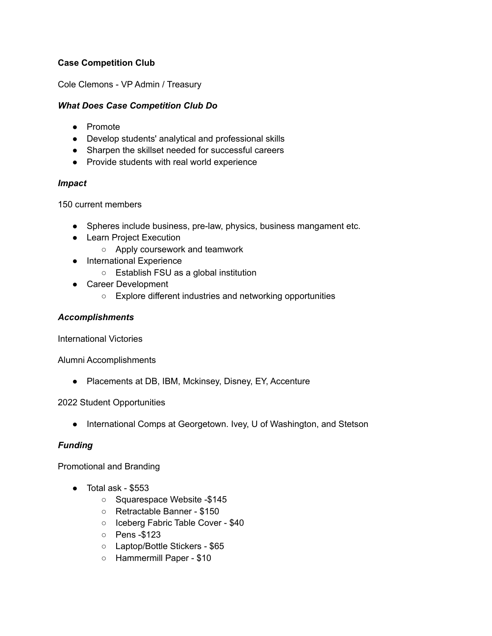# **Case Competition Club**

Cole Clemons - VP Admin / Treasury

## *What Does Case Competition Club Do*

- Promote
- Develop students' analytical and professional skills
- Sharpen the skillset needed for successful careers
- Provide students with real world experience

### *Impact*

150 current members

- Spheres include business, pre-law, physics, business mangament etc.
- Learn Project Execution
	- Apply coursework and teamwork
- International Experience
	- Establish FSU as a global institution
- Career Development
	- Explore different industries and networking opportunities

#### *Accomplishments*

International Victories

Alumni Accomplishments

● Placements at DB, IBM, Mckinsey, Disney, EY, Accenture

### 2022 Student Opportunities

● International Comps at Georgetown. Ivey, U of Washington, and Stetson

### *Funding*

Promotional and Branding

- Total ask \$553
	- Squarespace Website -\$145
	- Retractable Banner \$150
	- Iceberg Fabric Table Cover \$40
	- Pens -\$123
	- Laptop/Bottle Stickers \$65
	- Hammermill Paper \$10